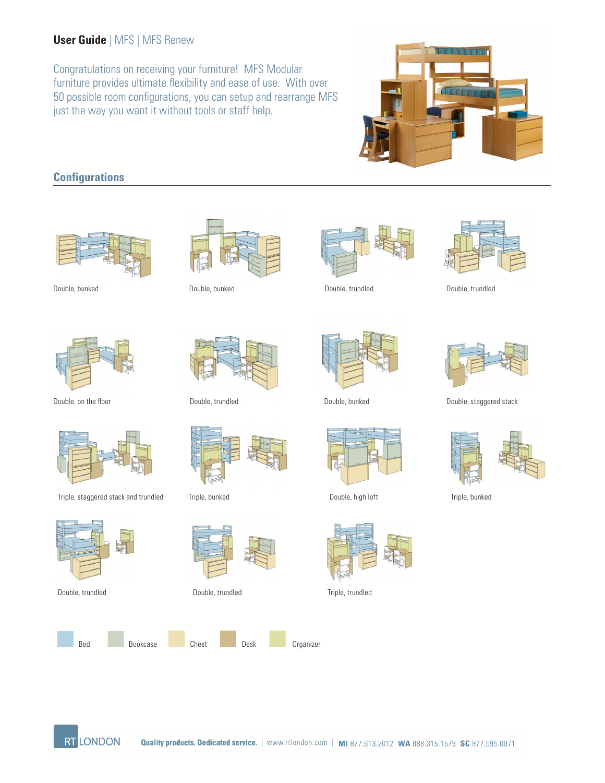## **User Guide** | MFS | MFS Renew

Congratulations on receiving your furniture! MFS Modular furniture provides ultimate flexibility and ease of use. With over 50 possible room configurations, you can setup and rearrange MFS just the way you want it without tools or staff help.



# **Configurations**





Double, on the floor



Triple, staggered stack and trundled Triple, bunked Double, high loft Triple, bunked Triple, bunked









Triple, bunked



Double, trundled Double, trundled Triple, trundled





Double, bunked Double, bunked Double, trundled Double, trundled











Double, trundled **Double, bunked** Double, bunked Double, staggered stack



**RT LONDON**